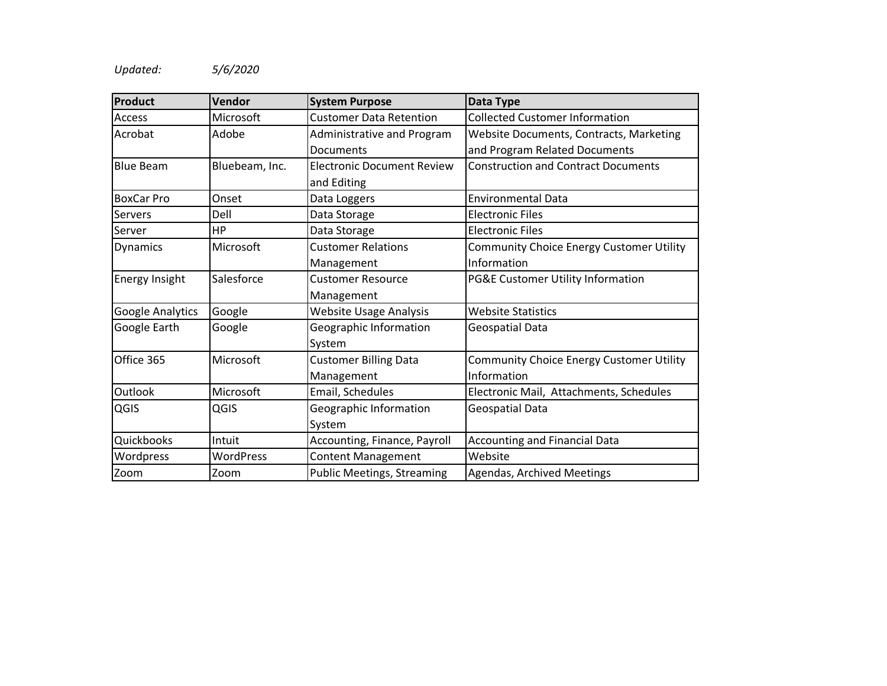## *Updated: 5/6/2020*

| Product           | Vendor           | <b>System Purpose</b>             | Data Type                                       |  |
|-------------------|------------------|-----------------------------------|-------------------------------------------------|--|
| Access            | Microsoft        | <b>Customer Data Retention</b>    | <b>Collected Customer Information</b>           |  |
| Acrobat           | Adobe            | Administrative and Program        | <b>Website Documents, Contracts, Marketing</b>  |  |
|                   |                  | Documents                         | and Program Related Documents                   |  |
| <b>Blue Beam</b>  | Bluebeam, Inc.   | <b>Electronic Document Review</b> | <b>Construction and Contract Documents</b>      |  |
|                   |                  | and Editing                       |                                                 |  |
| <b>BoxCar Pro</b> | Onset            | Data Loggers                      | <b>Environmental Data</b>                       |  |
| Servers           | Dell             | Data Storage                      | <b>Electronic Files</b>                         |  |
| Server            | <b>HP</b>        | Data Storage                      | <b>Electronic Files</b>                         |  |
| Dynamics          | Microsoft        | <b>Customer Relations</b>         | <b>Community Choice Energy Customer Utility</b> |  |
|                   |                  | Management                        | Information                                     |  |
| Energy Insight    | Salesforce       | <b>Customer Resource</b>          | PG&E Customer Utility Information               |  |
|                   |                  | Management                        |                                                 |  |
| Google Analytics  | Google           | <b>Website Usage Analysis</b>     | <b>Website Statistics</b>                       |  |
| Google Earth      | Google           | Geographic Information            | Geospatial Data                                 |  |
|                   |                  | System                            |                                                 |  |
| Office 365        | Microsoft        | <b>Customer Billing Data</b>      | <b>Community Choice Energy Customer Utility</b> |  |
|                   |                  | Management                        | Information                                     |  |
| Outlook           | Microsoft        | Email, Schedules                  | Electronic Mail, Attachments, Schedules         |  |
| QGIS              | QGIS             | Geographic Information            | Geospatial Data                                 |  |
|                   |                  | System                            |                                                 |  |
| Quickbooks        | Intuit           | Accounting, Finance, Payroll      | <b>Accounting and Financial Data</b>            |  |
| Wordpress         | <b>WordPress</b> | <b>Content Management</b>         | Website                                         |  |
| Zoom              | Zoom             | <b>Public Meetings, Streaming</b> | <b>Agendas, Archived Meetings</b>               |  |